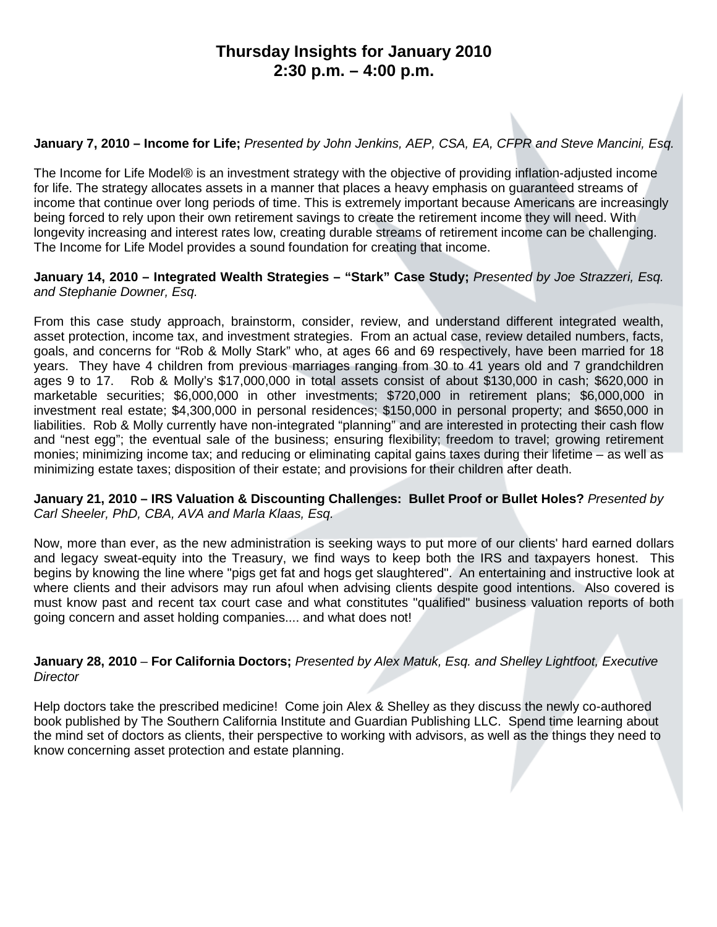# **Thursday Insights for January 2010 2:30 p.m. – 4:00 p.m.**

### **January 7, 2010 – Income for Life;** *Presented by John Jenkins, AEP, CSA, EA, CFPR and Steve Mancini, Esq.*

The Income for Life Model® is an investment strategy with the objective of providing inflation-adjusted income for life. The strategy allocates assets in a manner that places a heavy emphasis on guaranteed streams of income that continue over long periods of time. This is extremely important because Americans are increasingly being forced to rely upon their own retirement savings to create the retirement income they will need. With longevity increasing and interest rates low, creating durable streams of retirement income can be challenging. The Income for Life Model provides a sound foundation for creating that income.

### **January 14, 2010 – Integrated Wealth Strategies – "Stark" Case Study;** *Presented by Joe Strazzeri, Esq. and Stephanie Downer, Esq.*

From this case study approach, brainstorm, consider, review, and understand different integrated wealth, asset protection, income tax, and investment strategies. From an actual case, review detailed numbers, facts, goals, and concerns for "Rob & Molly Stark" who, at ages 66 and 69 respectively, have been married for 18 years. They have 4 children from previous marriages ranging from 30 to 41 years old and 7 grandchildren ages 9 to 17. Rob & Molly's \$17,000,000 in total assets consist of about \$130,000 in cash; \$620,000 in marketable securities; \$6,000,000 in other investments; \$720,000 in retirement plans; \$6,000,000 in investment real estate; \$4,300,000 in personal residences; \$150,000 in personal property; and \$650,000 in liabilities. Rob & Molly currently have non-integrated "planning" and are interested in protecting their cash flow and "nest egg"; the eventual sale of the business; ensuring flexibility; freedom to travel; growing retirement monies; minimizing income tax; and reducing or eliminating capital gains taxes during their lifetime – as well as minimizing estate taxes; disposition of their estate; and provisions for their children after death.

#### **January 21, 2010 – IRS Valuation & Discounting Challenges: Bullet Proof or Bullet Holes?** *Presented by Carl Sheeler, PhD, CBA, AVA and Marla Klaas, Esq.*

Now, more than ever, as the new administration is seeking ways to put more of our clients' hard earned dollars and legacy sweat-equity into the Treasury, we find ways to keep both the IRS and taxpayers honest. This begins by knowing the line where "pigs get fat and hogs get slaughtered". An entertaining and instructive look at where clients and their advisors may run afoul when advising clients despite good intentions. Also covered is must know past and recent tax court case and what constitutes "qualified" business valuation reports of both going concern and asset holding companies.... and what does not!

### **January 28, 2010** – **For California Doctors;** *Presented by Alex Matuk, Esq. and Shelley Lightfoot, Executive Director*

Help doctors take the prescribed medicine! Come join Alex & Shelley as they discuss the newly co-authored book published by The Southern California Institute and Guardian Publishing LLC. Spend time learning about the mind set of doctors as clients, their perspective to working with advisors, as well as the things they need to know concerning asset protection and estate planning.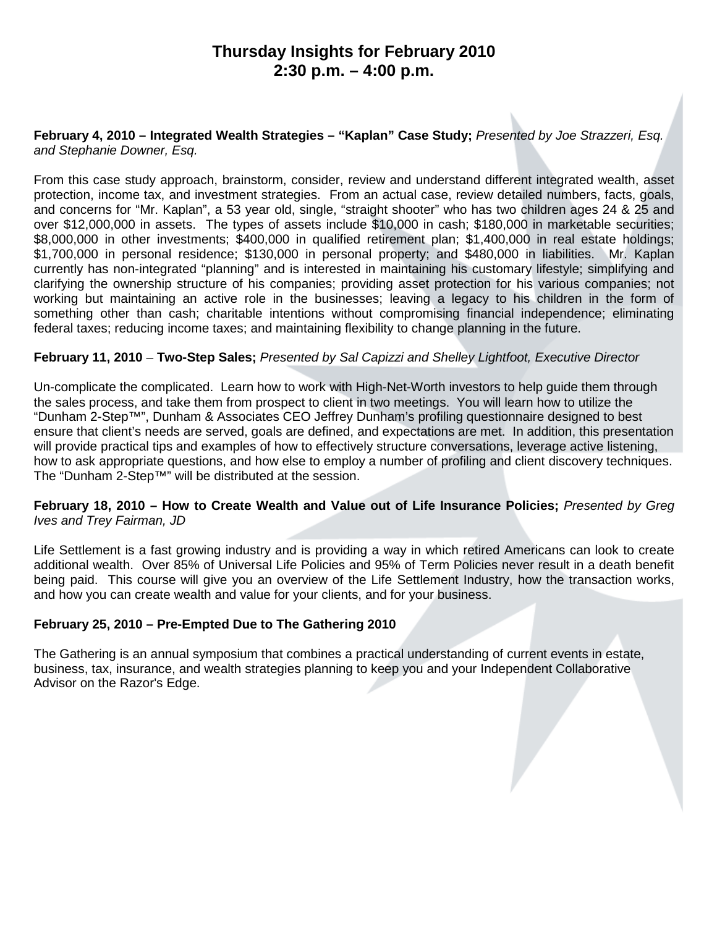# **Thursday Insights for February 2010 2:30 p.m. – 4:00 p.m.**

#### **February 4, 2010 – Integrated Wealth Strategies – "Kaplan" Case Study;** *Presented by Joe Strazzeri, Esq. and Stephanie Downer, Esq.*

From this case study approach, brainstorm, consider, review and understand different integrated wealth, asset protection, income tax, and investment strategies. From an actual case, review detailed numbers, facts, goals, and concerns for "Mr. Kaplan", a 53 year old, single, "straight shooter" who has two children ages 24 & 25 and over \$12,000,000 in assets. The types of assets include \$10,000 in cash; \$180,000 in marketable securities; \$8,000,000 in other investments; \$400,000 in qualified retirement plan; \$1,400,000 in real estate holdings; \$1,700,000 in personal residence; \$130,000 in personal property; and \$480,000 in liabilities. Mr. Kaplan currently has non-integrated "planning" and is interested in maintaining his customary lifestyle; simplifying and clarifying the ownership structure of his companies; providing asset protection for his various companies; not working but maintaining an active role in the businesses; leaving a legacy to his children in the form of something other than cash; charitable intentions without compromising financial independence; eliminating federal taxes; reducing income taxes; and maintaining flexibility to change planning in the future.

#### **February 11, 2010** – **Two-Step Sales;** *Presented by Sal Capizzi and Shelley Lightfoot, Executive Director*

Un-complicate the complicated. Learn how to work with High-Net-Worth investors to help guide them through the sales process, and take them from prospect to client in two meetings. You will learn how to utilize the "Dunham 2-Step™", Dunham & Associates CEO Jeffrey Dunham's profiling questionnaire designed to best ensure that client's needs are served, goals are defined, and expectations are met. In addition, this presentation will provide practical tips and examples of how to effectively structure conversations, leverage active listening, how to ask appropriate questions, and how else to employ a number of profiling and client discovery techniques. The "Dunham 2-Step™" will be distributed at the session.

#### **February 18, 2010 – How to Create Wealth and Value out of Life Insurance Policies;** *Presented by Greg Ives and Trey Fairman, JD*

Life Settlement is a fast growing industry and is providing a way in which retired Americans can look to create additional wealth. Over 85% of Universal Life Policies and 95% of Term Policies never result in a death benefit being paid. This course will give you an overview of the Life Settlement Industry, how the transaction works, and how you can create wealth and value for your clients, and for your business.

### **February 25, 2010 – Pre-Empted Due to The Gathering 2010**

The Gathering is an annual symposium that combines a practical understanding of current events in estate, business, tax, insurance, and wealth strategies planning to keep you and your Independent Collaborative Advisor on the Razor's Edge.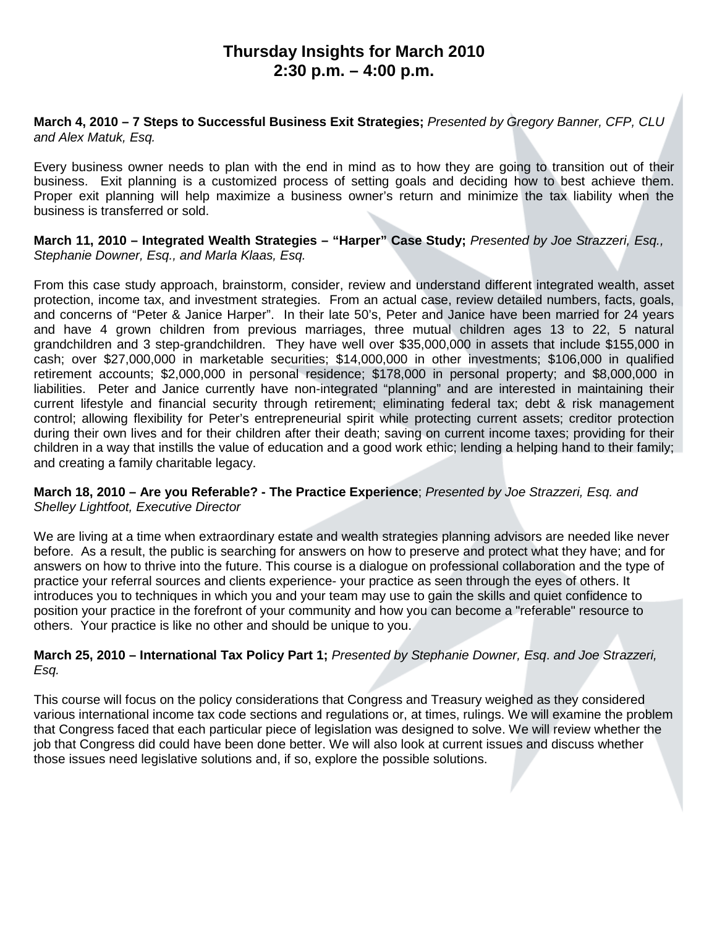# **Thursday Insights for March 2010 2:30 p.m. – 4:00 p.m.**

### **March 4, 2010 – 7 Steps to Successful Business Exit Strategies;** *Presented by Gregory Banner, CFP, CLU and Alex Matuk, Esq.*

Every business owner needs to plan with the end in mind as to how they are going to transition out of their business. Exit planning is a customized process of setting goals and deciding how to best achieve them. Proper exit planning will help maximize a business owner's return and minimize the tax liability when the business is transferred or sold.

### **March 11, 2010 – Integrated Wealth Strategies – "Harper" Case Study;** *Presented by Joe Strazzeri, Esq., Stephanie Downer, Esq., and Marla Klaas, Esq.*

From this case study approach, brainstorm, consider, review and understand different integrated wealth, asset protection, income tax, and investment strategies. From an actual case, review detailed numbers, facts, goals, and concerns of "Peter & Janice Harper". In their late 50's, Peter and Janice have been married for 24 years and have 4 grown children from previous marriages, three mutual children ages 13 to 22, 5 natural grandchildren and 3 step-grandchildren. They have well over \$35,000,000 in assets that include \$155,000 in cash; over \$27,000,000 in marketable securities; \$14,000,000 in other investments; \$106,000 in qualified retirement accounts; \$2,000,000 in personal residence; \$178,000 in personal property; and \$8,000,000 in liabilities. Peter and Janice currently have non-integrated "planning" and are interested in maintaining their current lifestyle and financial security through retirement; eliminating federal tax; debt & risk management control; allowing flexibility for Peter's entrepreneurial spirit while protecting current assets; creditor protection during their own lives and for their children after their death; saving on current income taxes; providing for their children in a way that instills the value of education and a good work ethic; lending a helping hand to their family; and creating a family charitable legacy.

### **March 18, 2010 – Are you Referable? - The Practice Experience**; *Presented by Joe Strazzeri, Esq. and Shelley Lightfoot, Executive Director*

We are living at a time when extraordinary estate and wealth strategies planning advisors are needed like never before. As a result, the public is searching for answers on how to preserve and protect what they have; and for answers on how to thrive into the future. This course is a dialogue on professional collaboration and the type of practice your referral sources and clients experience- your practice as seen through the eyes of others. It introduces you to techniques in which you and your team may use to gain the skills and quiet confidence to position your practice in the forefront of your community and how you can become a "referable" resource to others. Your practice is like no other and should be unique to you.

### **March 25, 2010 – International Tax Policy Part 1;** *Presented by Stephanie Downer, Esq*. *and Joe Strazzeri, Esq.*

This course will focus on the policy considerations that Congress and Treasury weighed as they considered various international income tax code sections and regulations or, at times, rulings. We will examine the problem that Congress faced that each particular piece of legislation was designed to solve. We will review whether the job that Congress did could have been done better. We will also look at current issues and discuss whether those issues need legislative solutions and, if so, explore the possible solutions.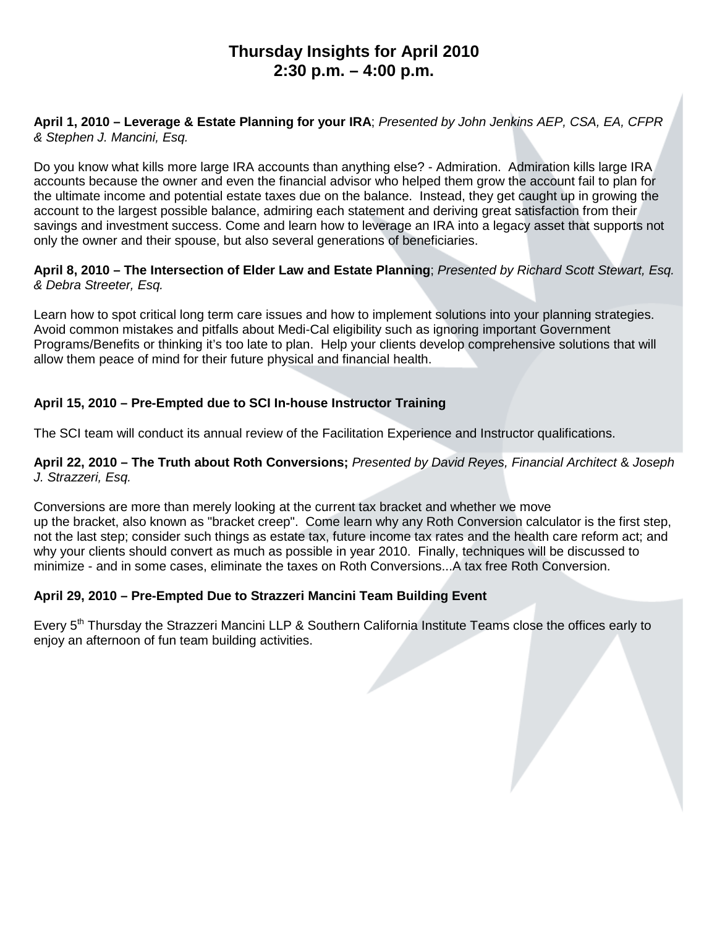# **Thursday Insights for April 2010 2:30 p.m. – 4:00 p.m.**

### **April 1, 2010 – Leverage & Estate Planning for your IRA**; *Presented by John Jenkins AEP, CSA, EA, CFPR & Stephen J. Mancini, Esq.*

Do you know what kills more large IRA accounts than anything else? - Admiration. Admiration kills large IRA accounts because the owner and even the financial advisor who helped them grow the account fail to plan for the ultimate income and potential estate taxes due on the balance. Instead, they get caught up in growing the account to the largest possible balance, admiring each statement and deriving great satisfaction from their savings and investment success. Come and learn how to leverage an IRA into a legacy asset that supports not only the owner and their spouse, but also several generations of beneficiaries.

### **April 8, 2010 – The Intersection of Elder Law and Estate Planning**; *Presented by Richard Scott Stewart, Esq. & Debra Streeter, Esq.*

Learn how to spot critical long term care issues and how to implement solutions into your planning strategies. Avoid common mistakes and pitfalls about Medi-Cal eligibility such as ignoring important Government Programs/Benefits or thinking it's too late to plan. Help your clients develop comprehensive solutions that will allow them peace of mind for their future physical and financial health.

## **April 15, 2010 – Pre-Empted due to SCI In-house Instructor Training**

The SCI team will conduct its annual review of the Facilitation Experience and Instructor qualifications.

### **April 22, 2010 – The Truth about Roth Conversions;** *Presented by David Reyes, Financial Architect* & *Joseph J. Strazzeri, Esq.*

Conversions are more than merely looking at the current tax bracket and whether we move up the bracket, also known as "bracket creep". Come learn why any Roth Conversion calculator is the first step, not the last step; consider such things as estate tax, future income tax rates and the health care reform act; and why your clients should convert as much as possible in year 2010. Finally, techniques will be discussed to minimize - and in some cases, eliminate the taxes on Roth Conversions...A tax free Roth Conversion.

## **April 29, 2010 – Pre-Empted Due to Strazzeri Mancini Team Building Event**

Every 5<sup>th</sup> Thursday the Strazzeri Mancini LLP & Southern California Institute Teams close the offices early to enjoy an afternoon of fun team building activities.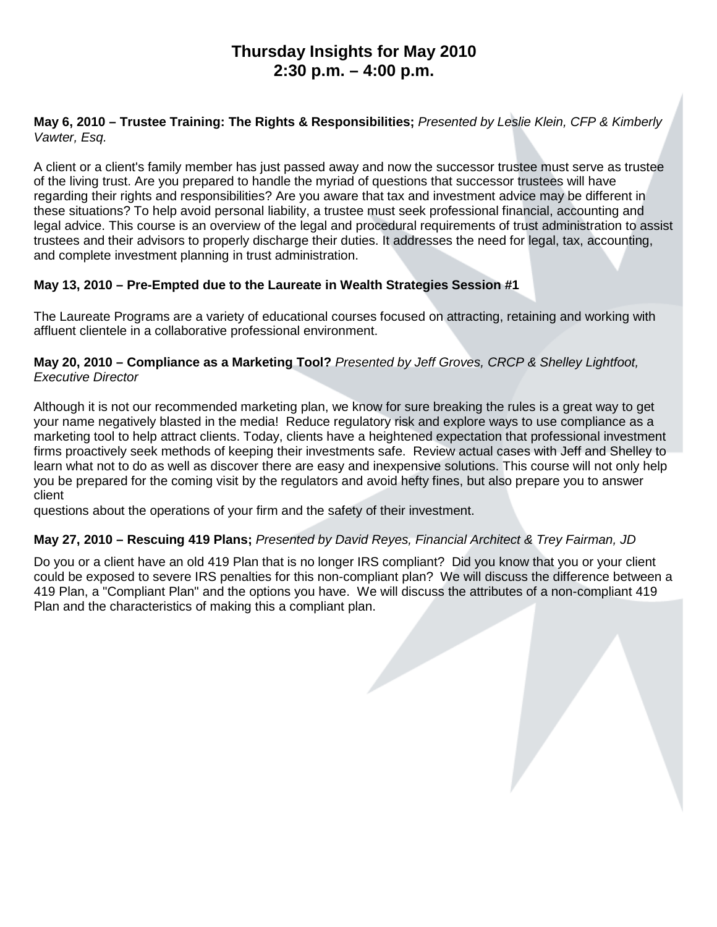# **Thursday Insights for May 2010 2:30 p.m. – 4:00 p.m.**

### **May 6, 2010 – Trustee Training: The Rights & Responsibilities;** *Presented by Leslie Klein, CFP & Kimberly Vawter, Esq.*

A client or a client's family member has just passed away and now the successor trustee must serve as trustee of the living trust. Are you prepared to handle the myriad of questions that successor trustees will have regarding their rights and responsibilities? Are you aware that tax and investment advice may be different in these situations? To help avoid personal liability, a trustee must seek professional financial, accounting and legal advice. This course is an overview of the legal and procedural requirements of trust administration to assist trustees and their advisors to properly discharge their duties. It addresses the need for legal, tax, accounting, and complete investment planning in trust administration.

## **May 13, 2010 – Pre-Empted due to the Laureate in Wealth Strategies Session #1**

The Laureate Programs are a variety of educational courses focused on attracting, retaining and working with affluent clientele in a collaborative professional environment.

### **May 20, 2010 – Compliance as a Marketing Tool?** *Presented by Jeff Groves, CRCP & Shelley Lightfoot, Executive Director*

Although it is not our recommended marketing plan, we know for sure breaking the rules is a great way to get your name negatively blasted in the media! Reduce regulatory risk and explore ways to use compliance as a marketing tool to help attract clients. Today, clients have a heightened expectation that professional investment firms proactively seek methods of keeping their investments safe. Review actual cases with Jeff and Shelley to learn what not to do as well as discover there are easy and inexpensive solutions. This course will not only help you be prepared for the coming visit by the regulators and avoid hefty fines, but also prepare you to answer client

questions about the operations of your firm and the safety of their investment.

## **May 27, 2010 – Rescuing 419 Plans;** *Presented by David Reyes, Financial Architect & Trey Fairman, JD*

Do you or a client have an old 419 Plan that is no longer IRS compliant? Did you know that you or your client could be exposed to severe IRS penalties for this non-compliant plan? We will discuss the difference between a 419 Plan, a "Compliant Plan" and the options you have. We will discuss the attributes of a non-compliant 419 Plan and the characteristics of making this a compliant plan.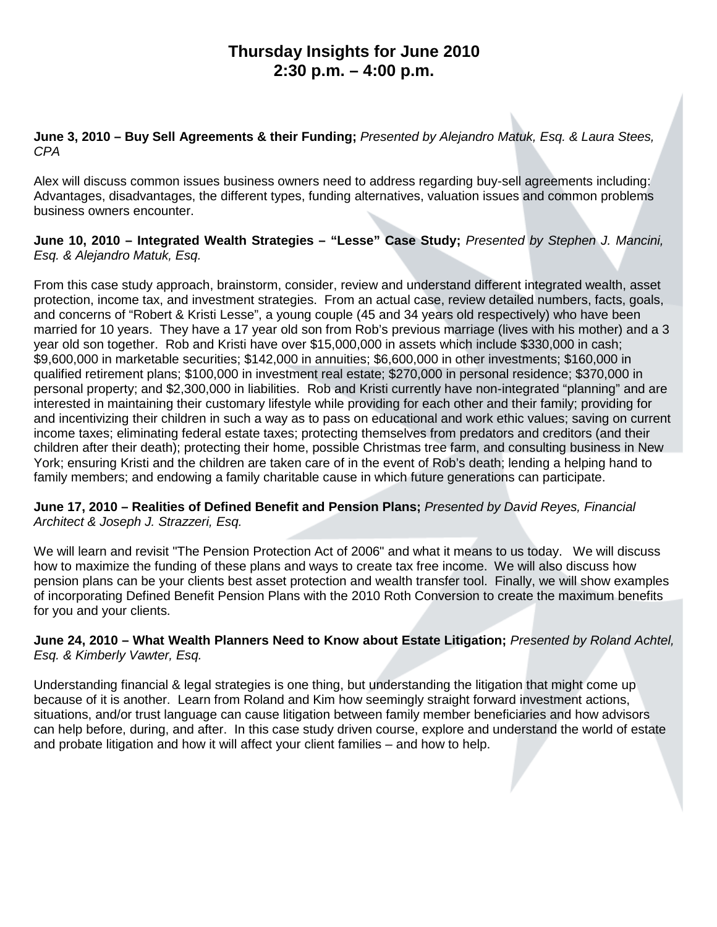# **Thursday Insights for June 2010 2:30 p.m. – 4:00 p.m.**

### **June 3, 2010 – Buy Sell Agreements & their Funding;** *Presented by Alejandro Matuk, Esq. & Laura Stees, CPA*

Alex will discuss common issues business owners need to address regarding buy-sell agreements including: Advantages, disadvantages, the different types, funding alternatives, valuation issues and common problems business owners encounter.

### **June 10, 2010 – Integrated Wealth Strategies – "Lesse" Case Study;** *Presented by Stephen J. Mancini, Esq. & Alejandro Matuk, Esq.*

From this case study approach, brainstorm, consider, review and understand different integrated wealth, asset protection, income tax, and investment strategies. From an actual case, review detailed numbers, facts, goals, and concerns of "Robert & Kristi Lesse", a young couple (45 and 34 years old respectively) who have been married for 10 years. They have a 17 year old son from Rob's previous marriage (lives with his mother) and a 3 year old son together. Rob and Kristi have over \$15,000,000 in assets which include \$330,000 in cash; \$9,600,000 in marketable securities; \$142,000 in annuities; \$6,600,000 in other investments; \$160,000 in qualified retirement plans; \$100,000 in investment real estate; \$270,000 in personal residence; \$370,000 in personal property; and \$2,300,000 in liabilities. Rob and Kristi currently have non-integrated "planning" and are interested in maintaining their customary lifestyle while providing for each other and their family; providing for and incentivizing their children in such a way as to pass on educational and work ethic values; saving on current income taxes; eliminating federal estate taxes; protecting themselves from predators and creditors (and their children after their death); protecting their home, possible Christmas tree farm, and consulting business in New York; ensuring Kristi and the children are taken care of in the event of Rob's death; lending a helping hand to family members; and endowing a family charitable cause in which future generations can participate.

### **June 17, 2010 – Realities of Defined Benefit and Pension Plans;** *Presented by David Reyes, Financial Architect & Joseph J. Strazzeri, Esq.*

We will learn and revisit "The Pension Protection Act of 2006" and what it means to us today. We will discuss how to maximize the funding of these plans and ways to create tax free income. We will also discuss how pension plans can be your clients best asset protection and wealth transfer tool. Finally, we will show examples of incorporating Defined Benefit Pension Plans with the 2010 Roth Conversion to create the maximum benefits for you and your clients.

### **June 24, 2010 – What Wealth Planners Need to Know about Estate Litigation;** *Presented by Roland Achtel, Esq. & Kimberly Vawter, Esq.*

Understanding financial & legal strategies is one thing, but understanding the litigation that might come up because of it is another. Learn from Roland and Kim how seemingly straight forward investment actions, situations, and/or trust language can cause litigation between family member beneficiaries and how advisors can help before, during, and after. In this case study driven course, explore and understand the world of estate and probate litigation and how it will affect your client families – and how to help.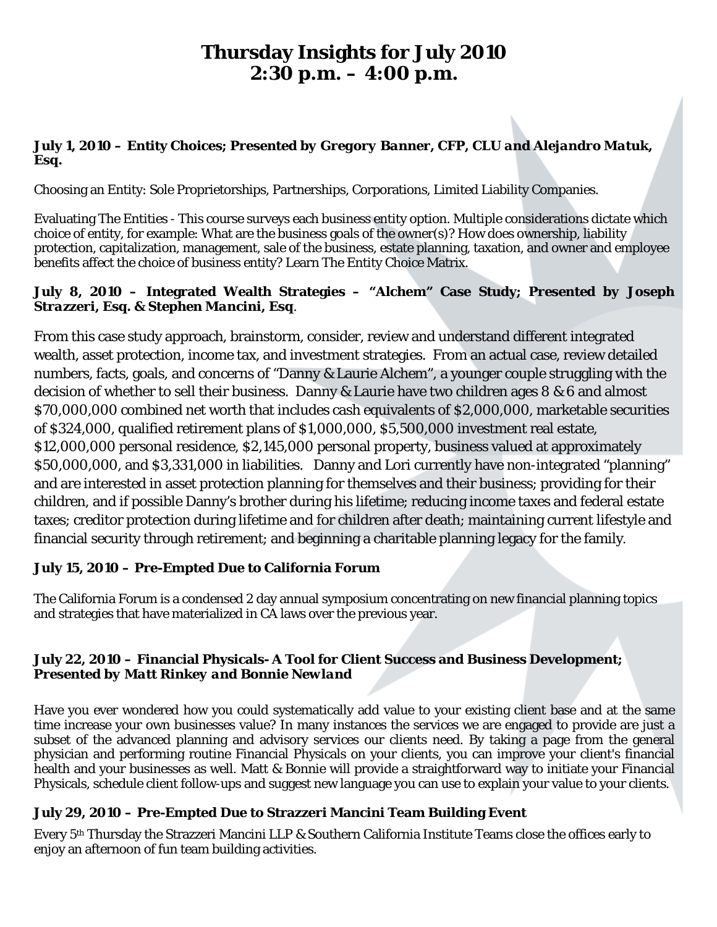# **Thursday Insights for July 2010 2:30 p.m. – 4:00 p.m.**

## **July 1, 2010 – Entity Choices;** *Presented by Gregory Banner, CFP, CLU and Alejandro Matuk, Esq***.**

Choosing an Entity: Sole Proprietorships, Partnerships, Corporations, Limited Liability Companies.

Evaluating The Entities - This course surveys each business entity option. Multiple considerations dictate which choice of entity, for example: What are the business goals of the owner(s)? How does ownership, liability protection, capitalization, management, sale of the business, estate planning, taxation, and owner and employee benefits affect the choice of business entity? Learn The Entity Choice Matrix.

## **July 8, 2010 – Integrated Wealth Strategies – "Alchem" Case Study;** *Presented by Joseph Strazzeri, Esq. & Stephen Mancini, Esq.*

From this case study approach, brainstorm, consider, review and understand different integrated wealth, asset protection, income tax, and investment strategies. From an actual case, review detailed numbers, facts, goals, and concerns of "Danny & Laurie Alchem", a younger couple struggling with the decision of whether to sell their business. Danny & Laurie have two children ages 8 & 6 and almost \$70,000,000 combined net worth that includes cash equivalents of \$2,000,000, marketable securities of \$324,000, qualified retirement plans of \$1,000,000, \$5,500,000 investment real estate, \$12,000,000 personal residence, \$2,145,000 personal property, business valued at approximately \$50,000,000, and \$3,331,000 in liabilities. Danny and Lori currently have non-integrated "planning" and are interested in asset protection planning for themselves and their business; providing for their children, and if possible Danny's brother during his lifetime; reducing income taxes and federal estate taxes; creditor protection during lifetime and for children after death; maintaining current lifestyle and financial security through retirement; and beginning a charitable planning legacy for the family.

# **July 15, 2010 – Pre-Empted Due to California Forum**

The California Forum is a condensed 2 day annual symposium concentrating on new financial planning topics and strategies that have materialized in CA laws over the previous year.

## **July 22, 2010 – Financial Physicals- A Tool for Client Success and Business Development;**  *Presented by Matt Rinkey and Bonnie Newland*

Have you ever wondered how you could systematically add value to your existing client base and at the same time increase your own businesses value? In many instances the services we are engaged to provide are just a subset of the advanced planning and advisory services our clients need. By taking a page from the general physician and performing routine Financial Physicals on your clients, you can improve your client's financial health and your businesses as well. Matt & Bonnie will provide a straightforward way to initiate your Financial Physicals, schedule client follow-ups and suggest new language you can use to explain your value to your clients.

# **July 29, 2010 – Pre-Empted Due to Strazzeri Mancini Team Building Event**

Every 5th Thursday the Strazzeri Mancini LLP & Southern California Institute Teams close the offices early to enjoy an afternoon of fun team building activities.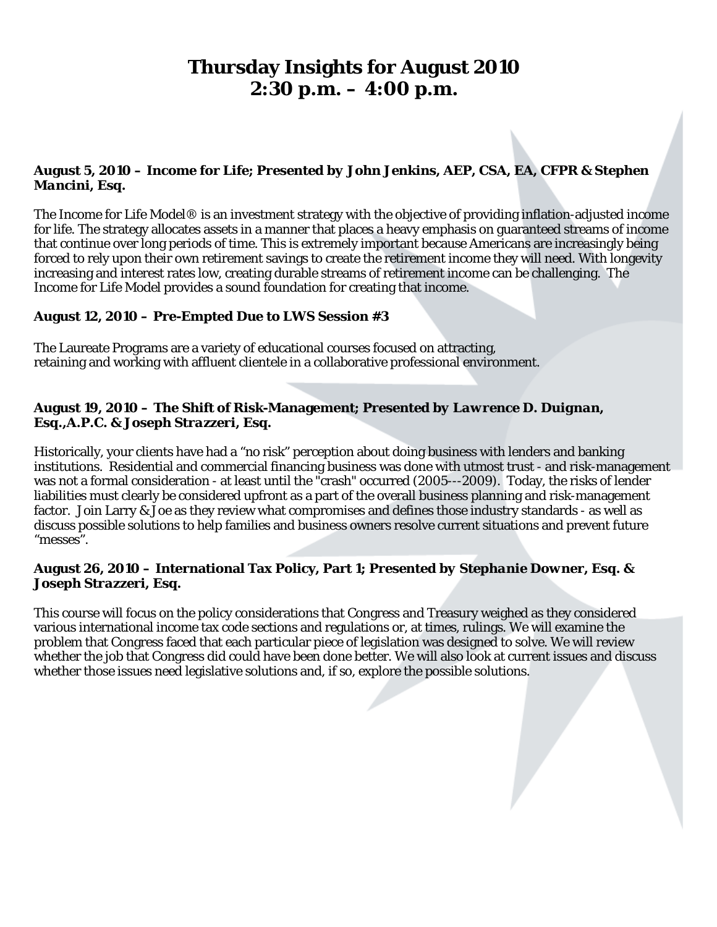# **Thursday Insights for August 2010 2:30 p.m. – 4:00 p.m.**

### **August 5, 2010 – Income for Life;** *Presented by John Jenkins, AEP, CSA, EA, CFPR & Stephen Mancini, Esq.*

The Income for Life Model® is an investment strategy with the objective of providing inflation-adjusted income for life. The strategy allocates assets in a manner that places a heavy emphasis on guaranteed streams of income that continue over long periods of time. This is extremely important because Americans are increasingly being forced to rely upon their own retirement savings to create the retirement income they will need. With longevity increasing and interest rates low, creating durable streams of retirement income can be challenging. The Income for Life Model provides a sound foundation for creating that income.

### **August 12, 2010 – Pre-Empted Due to LWS Session #3**

The Laureate Programs are a variety of educational courses focused on attracting, retaining and working with affluent clientele in a collaborative professional environment.

### **August 19, 2010 – The Shift of Risk-Management;** *Presented by Lawrence D. Duignan, Esq.,A.P.C. & Joseph Strazzeri, Esq.*

Historically, your clients have had a "no risk" perception about doing business with lenders and banking institutions. Residential and commercial financing business was done with utmost trust - and risk-management was not a formal consideration - at least until the "crash" occurred (2005---2009). Today, the risks of lender liabilities must clearly be considered upfront as a part of the overall business planning and risk-management factor. Join Larry & Joe as they review what compromises and defines those industry standards - as well as discuss possible solutions to help families and business owners resolve current situations and prevent future "messes".

### **August 26, 2010 – International Tax Policy, Part 1;** *Presented by Stephanie Downer, Esq. & Joseph Strazzeri, Esq.*

This course will focus on the policy considerations that Congress and Treasury weighed as they considered various international income tax code sections and regulations or, at times, rulings. We will examine the problem that Congress faced that each particular piece of legislation was designed to solve. We will review whether the job that Congress did could have been done better. We will also look at current issues and discuss whether those issues need legislative solutions and, if so, explore the possible solutions.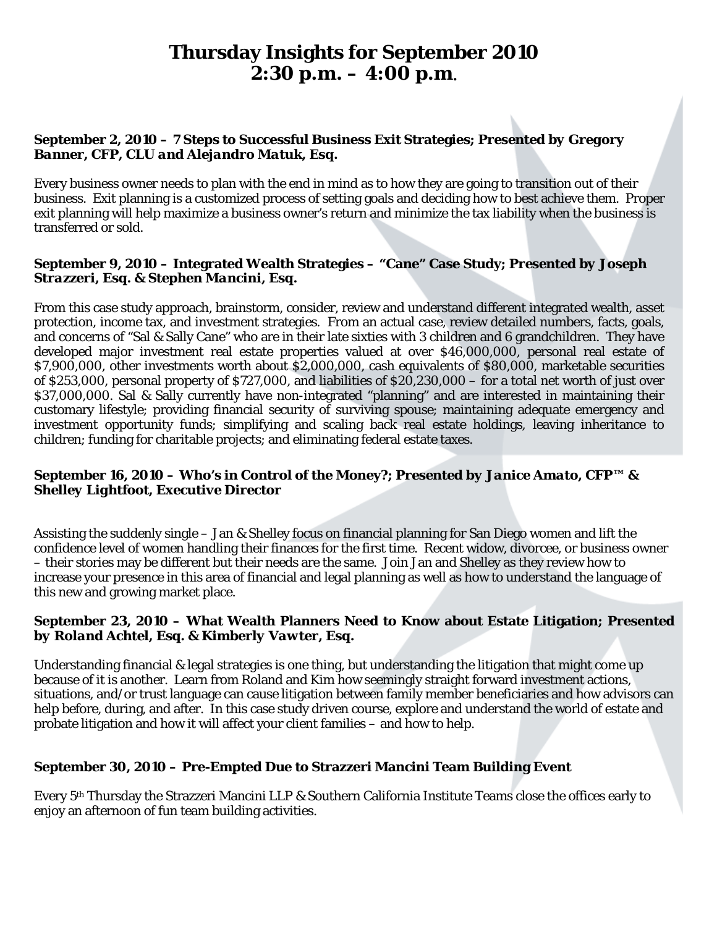# **Thursday Insights for September 2010 2:30 p.m. – 4:00 p.m.**

# **September 2, 2010 – 7 Steps to Successful Business Exit Strategies;** *Presented by Gregory Banner, CFP, CLU and Alejandro Matuk, Esq.*

Every business owner needs to plan with the end in mind as to how they are going to transition out of their business. Exit planning is a customized process of setting goals and deciding how to best achieve them. Proper exit planning will help maximize a business owner's return and minimize the tax liability when the business is transferred or sold.

### **September 9, 2010 – Integrated Wealth Strategies – "Cane" Case Study;** *Presented by Joseph Strazzeri, Esq. & Stephen Mancini, Esq.*

From this case study approach, brainstorm, consider, review and understand different integrated wealth, asset protection, income tax, and investment strategies. From an actual case, review detailed numbers, facts, goals, and concerns of "Sal & Sally Cane" who are in their late sixties with 3 children and 6 grandchildren. They have developed major investment real estate properties valued at over \$46,000,000, personal real estate of \$7,900,000, other investments worth about \$2,000,000, cash equivalents of \$80,000, marketable securities of \$253,000, personal property of \$727,000, and liabilities of \$20,230,000 – for a total net worth of just over \$37,000,000. Sal & Sally currently have non-integrated "planning" and are interested in maintaining their customary lifestyle; providing financial security of surviving spouse; maintaining adequate emergency and investment opportunity funds; simplifying and scaling back real estate holdings, leaving inheritance to children; funding for charitable projects; and eliminating federal estate taxes.

### **September 16, 2010 – Who's in Control of the Money?;** *Presented by Janice Amato, CFP™ & Shelley Lightfoot, Executive Director*

Assisting the suddenly single – Jan & Shelley focus on financial planning for San Diego women and lift the confidence level of women handling their finances for the first time. Recent widow, divorcee, or business owner – their stories may be different but their needs are the same. Join Jan and Shelley as they review how to increase your presence in this area of financial and legal planning as well as how to understand the language of this new and growing market place.

### **September 23, 2010 – What Wealth Planners Need to Know about Estate Litigation;** *Presented by Roland Achtel, Esq. & Kimberly Vawter, Esq.*

Understanding financial & legal strategies is one thing, but understanding the litigation that might come up because of it is another. Learn from Roland and Kim how seemingly straight forward investment actions, situations, and/or trust language can cause litigation between family member beneficiaries and how advisors can help before, during, and after. In this case study driven course, explore and understand the world of estate and probate litigation and how it will affect your client families – and how to help.

## **September 30, 2010 – Pre-Empted Due to Strazzeri Mancini Team Building Event**

Every 5th Thursday the Strazzeri Mancini LLP & Southern California Institute Teams close the offices early to enjoy an afternoon of fun team building activities.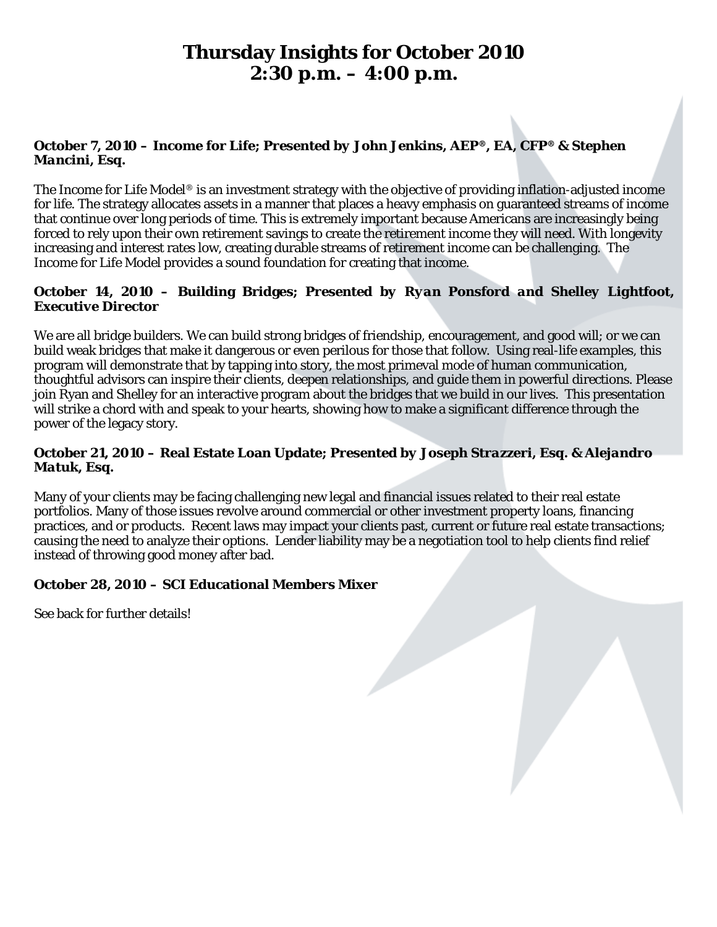# **Thursday Insights for October 2010 2:30 p.m. – 4:00 p.m.**

## **October 7, 2010 – Income for Life;** *Presented by John Jenkins, AEP®, EA, CFP® & Stephen Mancini, Esq.*

The Income for Life Model® is an investment strategy with the objective of providing inflation-adjusted income for life. The strategy allocates assets in a manner that places a heavy emphasis on guaranteed streams of income that continue over long periods of time. This is extremely important because Americans are increasingly being forced to rely upon their own retirement savings to create the retirement income they will need. With longevity increasing and interest rates low, creating durable streams of retirement income can be challenging. The Income for Life Model provides a sound foundation for creating that income.

### **October 14, 2010 – Building Bridges;** *Presented by Ryan Ponsford and Shelley Lightfoot, Executive Director*

We are all bridge builders. We can build strong bridges of friendship, encouragement, and good will; or we can build weak bridges that make it dangerous or even perilous for those that follow. Using real-life examples, this program will demonstrate that by tapping into story, the most primeval mode of human communication, thoughtful advisors can inspire their clients, deepen relationships, and guide them in powerful directions. Please join Ryan and Shelley for an interactive program about the bridges that we build in our lives. This presentation will strike a chord with and speak to your hearts, showing how to make a significant difference through the power of the legacy story.

### **October 21, 2010 – Real Estate Loan Update;** *Presented by Joseph Strazzeri, Esq. & Alejandro Matuk, Esq.*

Many of your clients may be facing challenging new legal and financial issues related to their real estate portfolios. Many of those issues revolve around commercial or other investment property loans, financing practices, and or products. Recent laws may impact your clients past, current or future real estate transactions; causing the need to analyze their options. Lender liability may be a negotiation tool to help clients find relief instead of throwing good money after bad.

## **October 28, 2010 – SCI Educational Members Mixer**

See back for further details!